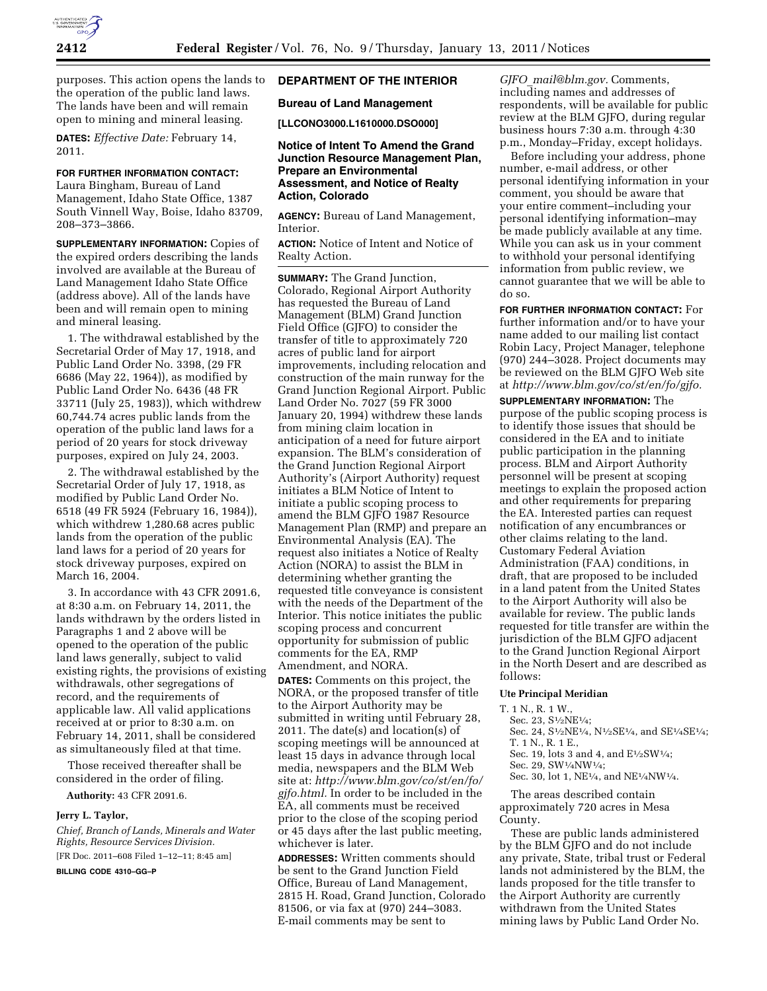

purposes. This action opens the lands to the operation of the public land laws. The lands have been and will remain open to mining and mineral leasing.

**DATES:** *Effective Date:* February 14, 2011.

# **FOR FURTHER INFORMATION CONTACT:**

Laura Bingham, Bureau of Land Management, Idaho State Office, 1387 South Vinnell Way, Boise, Idaho 83709, 208–373–3866.

**SUPPLEMENTARY INFORMATION:** Copies of the expired orders describing the lands involved are available at the Bureau of Land Management Idaho State Office (address above). All of the lands have been and will remain open to mining and mineral leasing.

1. The withdrawal established by the Secretarial Order of May 17, 1918, and Public Land Order No. 3398, (29 FR 6686 (May 22, 1964)), as modified by Public Land Order No. 6436 (48 FR 33711 (July 25, 1983)), which withdrew 60,744.74 acres public lands from the operation of the public land laws for a period of 20 years for stock driveway purposes, expired on July 24, 2003.

2. The withdrawal established by the Secretarial Order of July 17, 1918, as modified by Public Land Order No. 6518 (49 FR 5924 (February 16, 1984)), which withdrew 1,280.68 acres public lands from the operation of the public land laws for a period of 20 years for stock driveway purposes, expired on March 16, 2004.

3. In accordance with 43 CFR 2091.6, at 8:30 a.m. on February 14, 2011, the lands withdrawn by the orders listed in Paragraphs 1 and 2 above will be opened to the operation of the public land laws generally, subject to valid existing rights, the provisions of existing withdrawals, other segregations of record, and the requirements of applicable law. All valid applications received at or prior to 8:30 a.m. on February 14, 2011, shall be considered as simultaneously filed at that time.

Those received thereafter shall be considered in the order of filing.

**Authority:** 43 CFR 2091.6.

#### **Jerry L. Taylor,**

*Chief, Branch of Lands, Minerals and Water Rights, Resource Services Division.*  [FR Doc. 2011–608 Filed 1–12–11; 8:45 am]

**BILLING CODE 4310–GG–P** 

# **DEPARTMENT OF THE INTERIOR**

#### **Bureau of Land Management**

**[LLCONO3000.L1610000.DSO000]** 

### **Notice of Intent To Amend the Grand Junction Resource Management Plan, Prepare an Environmental Assessment, and Notice of Realty Action, Colorado**

**AGENCY:** Bureau of Land Management, Interior.

**ACTION:** Notice of Intent and Notice of Realty Action.

**SUMMARY:** The Grand Junction, Colorado, Regional Airport Authority has requested the Bureau of Land Management (BLM) Grand Junction Field Office (GJFO) to consider the transfer of title to approximately 720 acres of public land for airport improvements, including relocation and construction of the main runway for the Grand Junction Regional Airport. Public Land Order No. 7027 (59 FR 3000 January 20, 1994) withdrew these lands from mining claim location in anticipation of a need for future airport expansion. The BLM's consideration of the Grand Junction Regional Airport Authority's (Airport Authority) request initiates a BLM Notice of Intent to initiate a public scoping process to amend the BLM GJFO 1987 Resource Management Plan (RMP) and prepare an Environmental Analysis (EA). The request also initiates a Notice of Realty Action (NORA) to assist the BLM in determining whether granting the requested title conveyance is consistent with the needs of the Department of the Interior. This notice initiates the public scoping process and concurrent opportunity for submission of public comments for the EA, RMP Amendment, and NORA.

**DATES:** Comments on this project, the NORA, or the proposed transfer of title to the Airport Authority may be submitted in writing until February 28, 2011. The date(s) and location(s) of scoping meetings will be announced at least 15 days in advance through local media, newspapers and the BLM Web site at: *[http://www.blm.gov/co/st/en/fo/](http://www.blm.gov/co/st/en/fo/gjfo.html) [gjfo.html.](http://www.blm.gov/co/st/en/fo/gjfo.html)* In order to be included in the EA, all comments must be received prior to the close of the scoping period or 45 days after the last public meeting, whichever is later.

**ADDRESSES:** Written comments should be sent to the Grand Junction Field Office, Bureau of Land Management, 2815 H. Road, Grand Junction, Colorado 81506, or via fax at (970) 244–3083. E-mail comments may be sent to

*GJFO*\_*[mail@blm.gov.](mailto:GJFO_mail@blm.gov)* Comments, including names and addresses of respondents, will be available for public review at the BLM GJFO, during regular business hours 7:30 a.m. through 4:30 p.m., Monday–Friday, except holidays.

Before including your address, phone number, e-mail address, or other personal identifying information in your comment, you should be aware that your entire comment–including your personal identifying information–may be made publicly available at any time. While you can ask us in your comment to withhold your personal identifying information from public review, we cannot guarantee that we will be able to do so.

**FOR FURTHER INFORMATION CONTACT:** For further information and/or to have your name added to our mailing list contact Robin Lacy, Project Manager, telephone (970) 244–3028. Project documents may be reviewed on the BLM GJFO Web site at *[http://www.blm.gov/co/st/en/fo/gjfo.](http://www.blm.gov/co/st/en/fo/gjfo)* 

**SUPPLEMENTARY INFORMATION:** The purpose of the public scoping process is to identify those issues that should be considered in the EA and to initiate public participation in the planning process. BLM and Airport Authority personnel will be present at scoping meetings to explain the proposed action and other requirements for preparing the EA. Interested parties can request notification of any encumbrances or other claims relating to the land. Customary Federal Aviation Administration (FAA) conditions, in draft, that are proposed to be included in a land patent from the United States to the Airport Authority will also be available for review. The public lands requested for title transfer are within the jurisdiction of the BLM GJFO adjacent to the Grand Junction Regional Airport in the North Desert and are described as follows:

### **Ute Principal Meridian**

- T. 1 N., R. 1 W.,
	- Sec. 23, S1⁄2NE1⁄4;
	- Sec. 24, S<sup>1</sup>/<sub>2</sub>NE<sup>1</sup>/<sub>4</sub>, N<sup>1</sup>/<sub>2</sub>SE<sup>1</sup>/<sub>4</sub>, and SE<sup>1</sup>/<sub>4</sub>SE<sup>1</sup>/<sub>4</sub>; T. 1 N., R. 1 E.,
	-
	- Sec. 19, lots 3 and 4, and E1⁄2SW1⁄4; Sec. 29, SW1⁄4NW1⁄4;
	- Sec. 30, lot 1, NE1⁄4, and NE1⁄4NW1⁄4.

The areas described contain approximately 720 acres in Mesa County.

These are public lands administered by the BLM GJFO and do not include any private, State, tribal trust or Federal lands not administered by the BLM, the lands proposed for the title transfer to the Airport Authority are currently withdrawn from the United States mining laws by Public Land Order No.